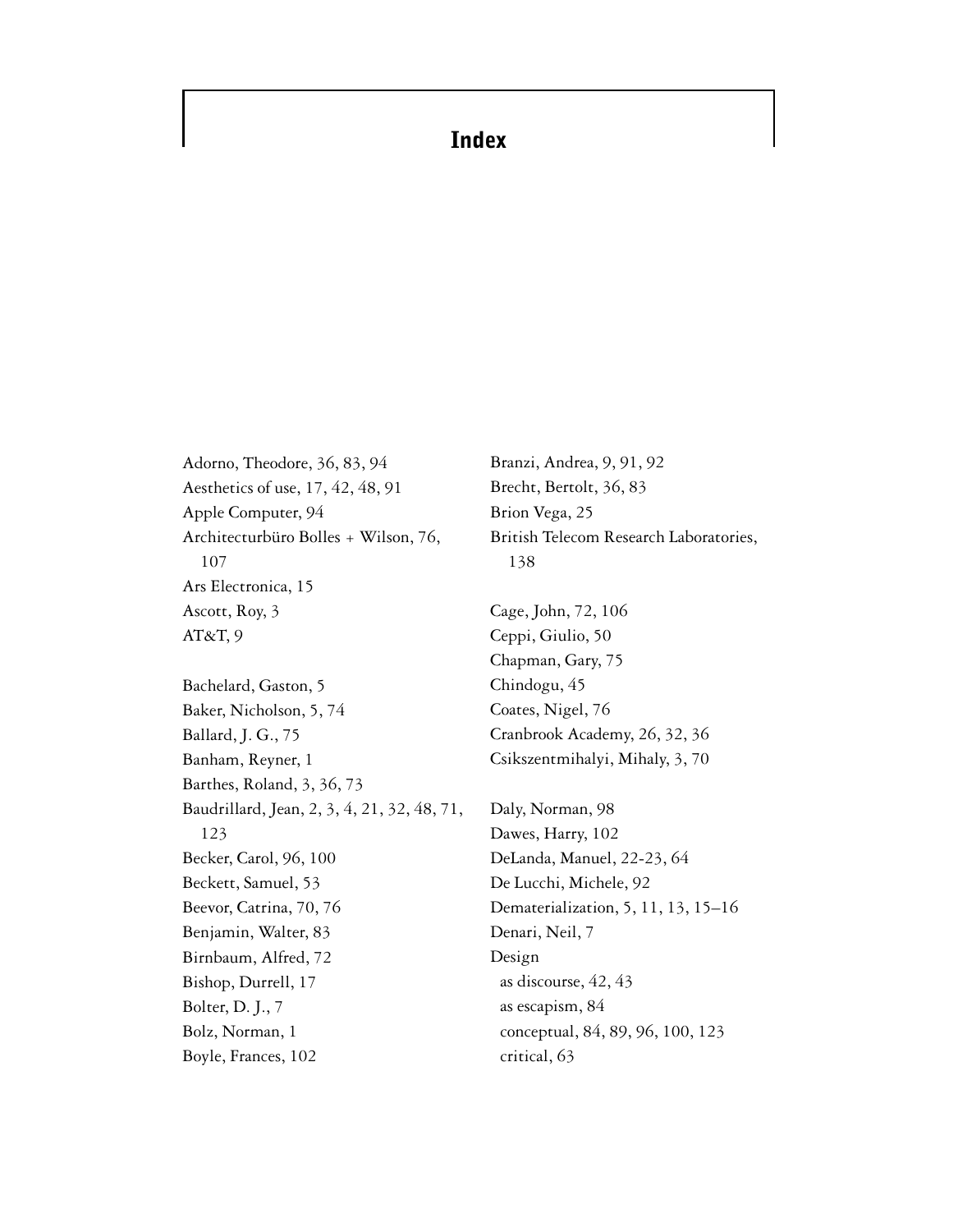## **Index**

Adorno, Theodore, 36, 83, 94 Aesthetics of use, 17, 42, 48, 91 Apple Computer, 94 Architecturbüro Bolles + Wilson, 76, 107 Ars Electronica, 15 Ascott, Roy, 3 AT&T, 9 Bachelard, Gaston, 5 Baker, Nicholson, 5, 74 Ballard, J. G., 75 Banham, Reyner, 1 Barthes, Roland, 3, 36, 73 [Baudrillard, Jean, 2, 3, 4, 21, 32, 48, 71,](#page--1-0) 123 Becker, Carol, 96, 100 Beckett, Samuel, 53 Beevor, Catrina, 70, 76 Benjamin, Walter, 83 Birnbaum, Alfred, 72 Bishop, Durrell, 17 Bolter, D. J., 7 Bolz, Norman, 1 Boyle, Frances, 102

Branzi, Andrea, 9, 91, 92 Brecht, Bertolt, 36, 83 Brion Vega, 25 British Telecom Research Laboratories, 138 Cage, John, 72, 106 Ceppi, Giulio, 50 Chapman, Gary, 75 Chindogu, 45 Coates, Nigel, 76 Cranbrook Academy, 26, 32, 36

Daly, Norman, 98 Dawes, Harry, 102 DeLanda, Manuel, 22-23, 64 De Lucchi, Michele, 92 Dematerialization, 5, 11, 13, 15–16 Denari, Neil, 7 Design as discourse, 42, 43 as escapism, 84 conceptual, 84, 89, 96, 100, 123 critical, 63

Csikszentmihalyi, Mihaly, 3, 70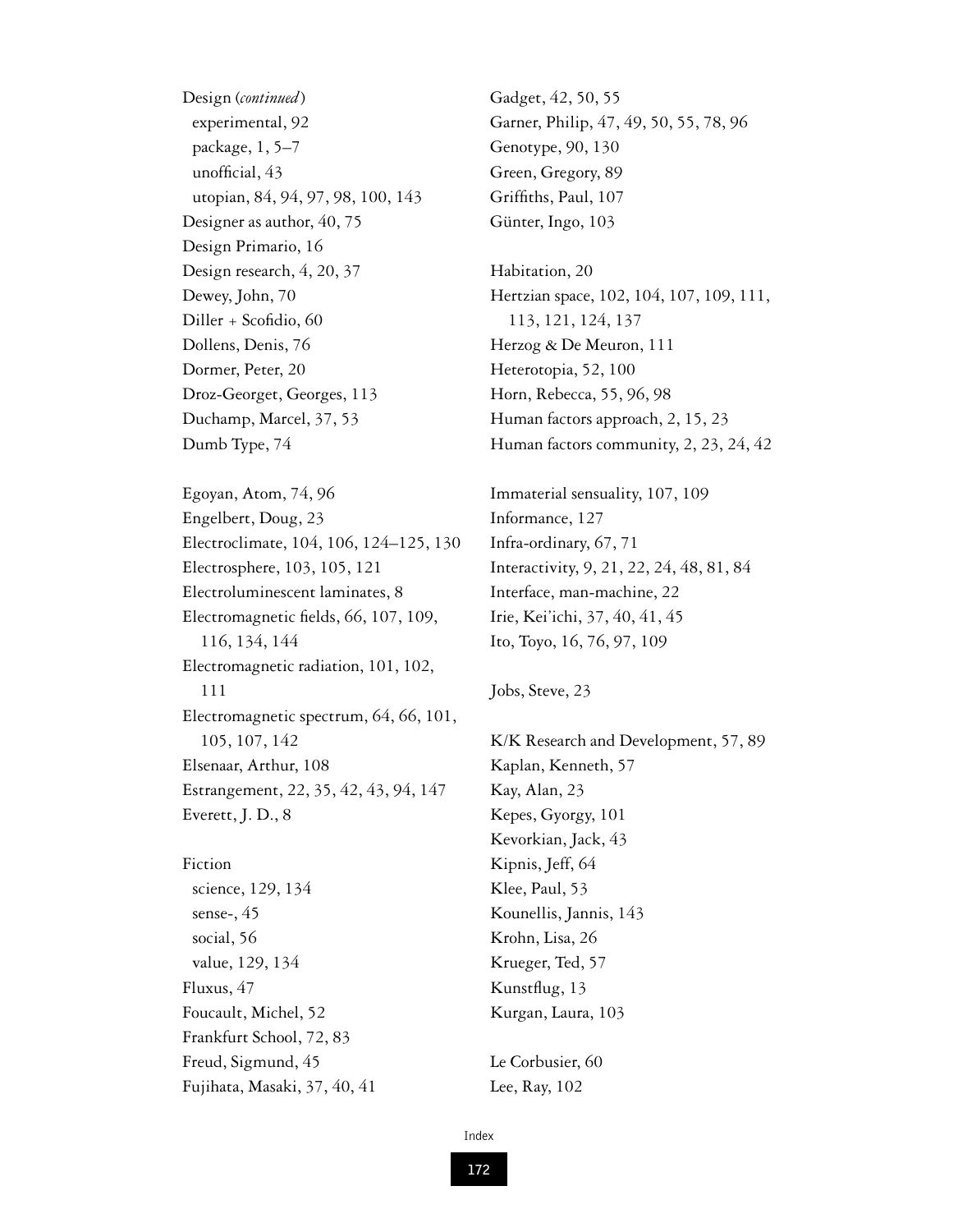Design (*continued*) experimental, 92 package, 1, 5–7 unofficial, 43 utopian, 84, 94, 97, 98, 100, 143 Designer as author, 40, 75 Design Primario, 16 Design research, 4, 20, 37 Dewey, John, 70 Diller + Scofidio, 60 Dollens, Denis, 76 Dormer, Peter, 20 Droz-Georget, Georges, 113 Duchamp, Marcel, 37, 53 Dumb Type, 74

Egoyan, Atom, 74, 96 Engelbert, Doug, 23 Electroclimate, 104, 106, 124–125, 130 Electrosphere, 103, 105, 121 Electroluminescent laminates, 8 Electromagnetic fields, 66, 107, 109, 116, 134, 144 Electromagnetic radiation, 101, 102, 111 Electromagnetic spectrum, 64, 66, 101, 105, 107, 142 Elsenaar, Arthur, 108 Estrangement, 22, 35, 42, 43, 94, 147 Everett, J. D., 8

Fiction science, 129, 134 sense-, 45 social, 56 value, 129, 134 Fluxus, 47 Foucault, Michel, 52 Frankfurt School, 72, 83 Freud, Sigmund, 45 Fujihata, Masaki, 37, 40, 41 Gadget, 42, 50, 55 Garner, Philip, 47, 49, 50, 55, 78, 96 Genotype, 90, 130 Green, Gregory, 89 Griffiths, Paul, 107 Günter, Ingo, 103

Habitation, 20 Hertzian space, 102, 104, 107, 109, 111, 113, 121, 124, 137 Herzog & De Meuron, 111 Heterotopia, 52, 100 Horn, Rebecca, 55, 96, 98 Human factors approach, 2, 15, 23 Human factors community, 2, 23, 24, 42

Immaterial sensuality, 107, 109 Informance, 127 Infra-ordinary, 67, 71 Interactivity, 9, 21, 22, 24, 48, 81, 84 Interface, man-machine, 22 Irie, Kei'ichi, 37, 40, 41, 45 Ito, Toyo, 16, 76, 97, 109

```
Jobs, Steve, 23
```
K/K Research and Development, 57, 89 Kaplan, Kenneth, 57 Kay, Alan, 23 Kepes, Gyorgy, 101 Kevorkian, Jack, 43 Kipnis, Jeff, 64 Klee, Paul, 53 Kounellis, Jannis, 143 Krohn, Lisa, 26 Krueger, Ted, 57 Kunstflug, 13 Kurgan, Laura, 103

Le Corbusier, 60 Lee, Ray, 102

Index

**172**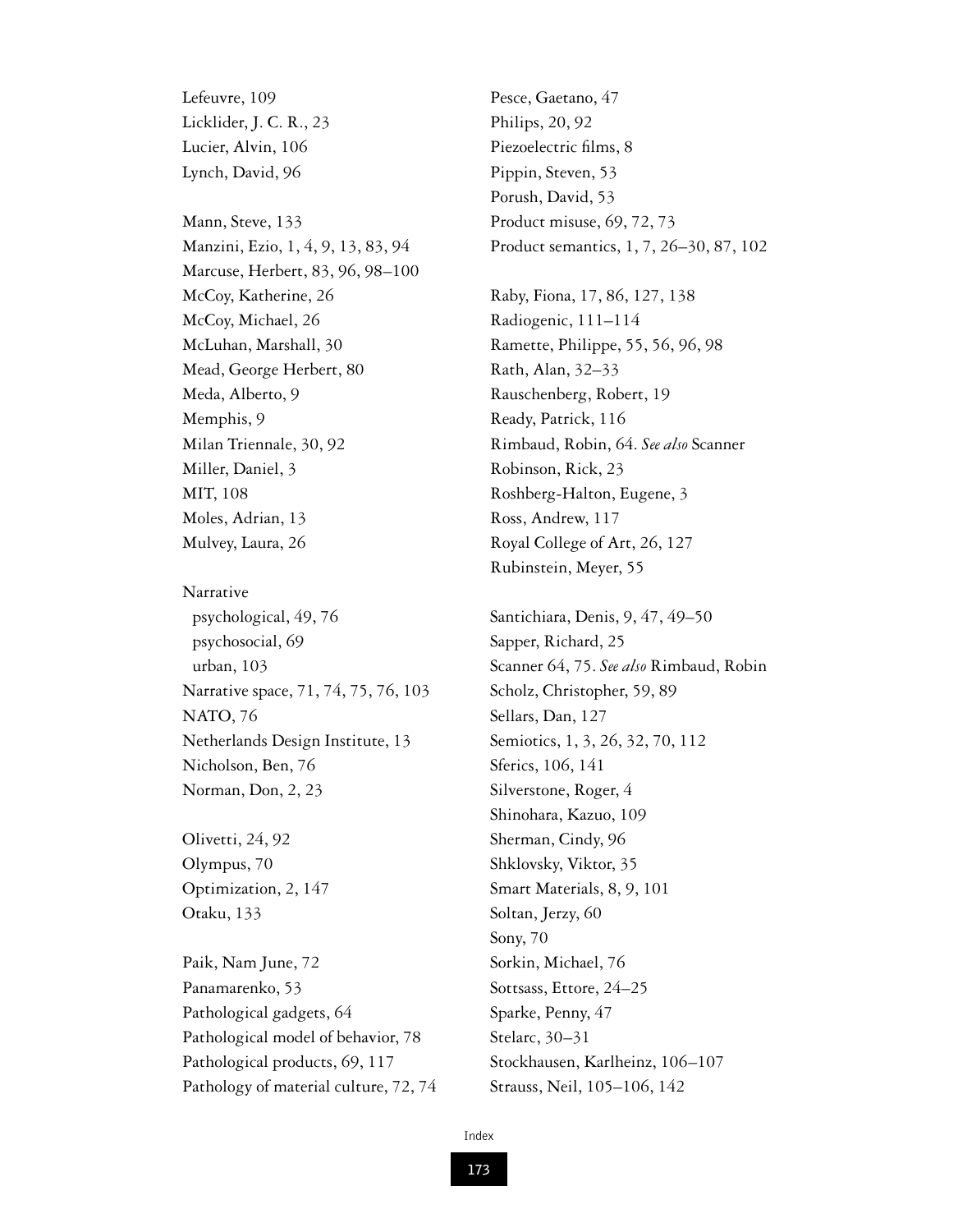Lefeuvre, 109 Licklider, J. C. R., 23 Lucier, Alvin, 106 Lynch, David, 96

Mann, Steve, 133 Manzini, Ezio, 1, 4, 9, 13, 83, 94 Marcuse, Herbert, 83, 96, 98–100 McCoy, Katherine, 26 McCoy, Michael, 26 McLuhan, Marshall, 30 Mead, George Herbert, 80 Meda, Alberto, 9 Memphis, 9 Milan Triennale, 30, 92 Miller, Daniel, 3 MIT, 108 Moles, Adrian, 13 Mulvey, Laura, 26

Narrative psychological, 49, 76 psychosocial, 69 urban, 103 Narrative space, 71, 74, 75, 76, 103 NATO, 76 Netherlands Design Institute, 13 Nicholson, Ben, 76 Norman, Don, 2, 23

Olivetti, 24, 92 Olympus, 70 Optimization, 2, 147 Otaku, 133

Paik, Nam June, 72 Panamarenko, 53 Pathological gadgets, 64 Pathological model of behavior, 78 Pathological products, 69, 117 Pathology of material culture, 72, 74 Pesce, Gaetano, 47 Philips, 20, 92 Piezoelectric films, 8 Pippin, Steven, 53 Porush, David, 53 Product misuse, 69, 72, 73 Product semantics, 1, 7, 26–30, 87, 102

Raby, Fiona, 17, 86, 127, 138 Radiogenic, 111–114 Ramette, Philippe, 55, 56, 96, 98 Rath, Alan, 32–33 Rauschenberg, Robert, 19 Ready, Patrick, 116 Rimbaud, Robin, 64. *See also* Scanner Robinson, Rick, 23 Roshberg-Halton, Eugene, 3 Ross, Andrew, 117 Royal College of Art, 26, 127 Rubinstein, Meyer, 55

Santichiara, Denis, 9, 47, 49–50 Sapper, Richard, 25 Scanner 64, 75. *See also* Rimbaud, Robin Scholz, Christopher, 59, 89 Sellars, Dan, 127 Semiotics, 1, 3, 26, 32, 70, 112 Sferics, 106, 141 Silverstone, Roger, 4 Shinohara, Kazuo, 109 Sherman, Cindy, 96 Shklovsky, Viktor, 35 Smart Materials, 8, 9, 101 Soltan, Jerzy, 60 Sony, 70 Sorkin, Michael, 76 Sottsass, Ettore, 24–25 Sparke, Penny, 47 Stelarc, 30–31 Stockhausen, Karlheinz, 106–107 Strauss, Neil, 105–106, 142

**173**